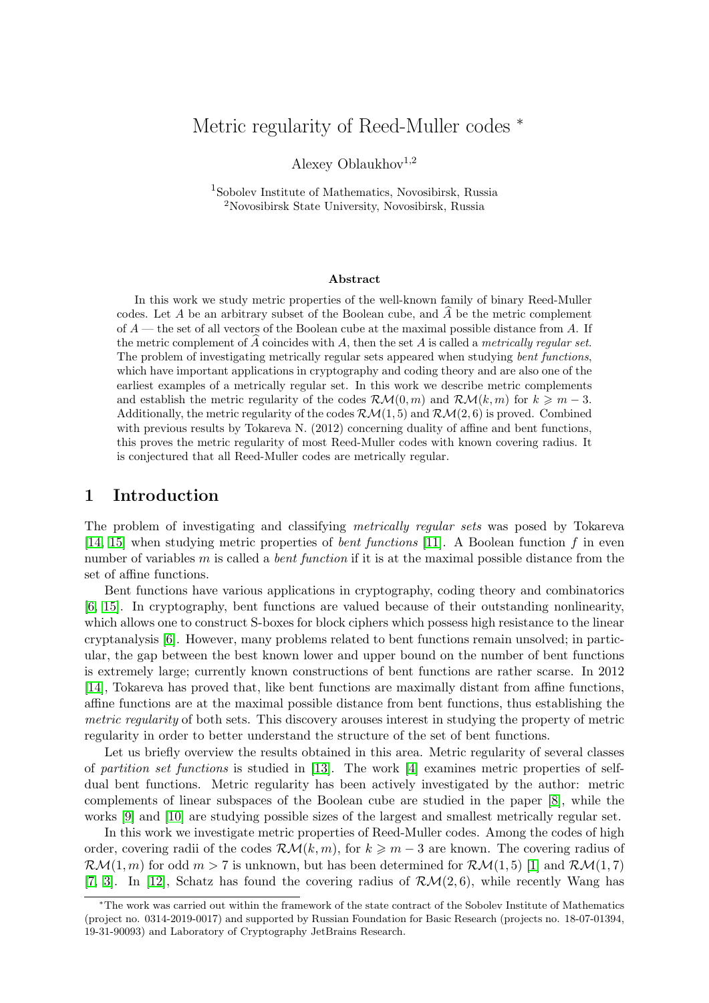# Metric regularity of Reed-Muller codes <sup>∗</sup>

Alexey Oblaukhov<sup>1,2</sup>

1 Sobolev Institute of Mathematics, Novosibirsk, Russia <sup>2</sup>Novosibirsk State University, Novosibirsk, Russia

#### Abstract

In this work we study metric properties of the well-known family of binary Reed-Muller codes. Let A be an arbitrary subset of the Boolean cube, and  $\hat{A}$  be the metric complement of  $A$  — the set of all vectors of the Boolean cube at the maximal possible distance from A. If the metric complement of A coincides with A, then the set A is called a metrically regular set. The problem of investigating metrically regular sets appeared when studying bent functions, which have important applications in cryptography and coding theory and are also one of the earliest examples of a metrically regular set. In this work we describe metric complements and establish the metric regularity of the codes  $\mathcal{RM}(0,m)$  and  $\mathcal{RM}(k,m)$  for  $k \geq m-3$ . Additionally, the metric regularity of the codes  $\mathcal{RM}(1,5)$  and  $\mathcal{RM}(2,6)$  is proved. Combined with previous results by Tokareva N. (2012) concerning duality of affine and bent functions, this proves the metric regularity of most Reed-Muller codes with known covering radius. It is conjectured that all Reed-Muller codes are metrically regular.

### 1 Introduction

The problem of investigating and classifying metrically regular sets was posed by Tokareva [\[14,](#page-6-0) [15\]](#page-6-1) when studying metric properties of bent functions [\[11\]](#page-5-0). A Boolean function f in even number of variables  $m$  is called a *bent function* if it is at the maximal possible distance from the set of affine functions.

Bent functions have various applications in cryptography, coding theory and combinatorics [\[6,](#page-5-1) [15\]](#page-6-1). In cryptography, bent functions are valued because of their outstanding nonlinearity, which allows one to construct S-boxes for block ciphers which possess high resistance to the linear cryptanalysis [\[6\]](#page-5-1). However, many problems related to bent functions remain unsolved; in particular, the gap between the best known lower and upper bound on the number of bent functions is extremely large; currently known constructions of bent functions are rather scarse. In 2012 [\[14\]](#page-6-0), Tokareva has proved that, like bent functions are maximally distant from affine functions, affine functions are at the maximal possible distance from bent functions, thus establishing the metric regularity of both sets. This discovery arouses interest in studying the property of metric regularity in order to better understand the structure of the set of bent functions.

Let us briefly overview the results obtained in this area. Metric regularity of several classes of partition set functions is studied in [\[13\]](#page-6-2). The work [\[4\]](#page-5-2) examines metric properties of selfdual bent functions. Metric regularity has been actively investigated by the author: metric complements of linear subspaces of the Boolean cube are studied in the paper [\[8\]](#page-5-3), while the works [\[9\]](#page-5-4) and [\[10\]](#page-5-5) are studying possible sizes of the largest and smallest metrically regular set.

In this work we investigate metric properties of Reed-Muller codes. Among the codes of high order, covering radii of the codes  $\mathcal{RM}(k,m)$ , for  $k \geq m-3$  are known. The covering radius of  $\mathcal{RM}(1,m)$  for odd  $m > 7$  is unknown, but has been determined for  $\mathcal{RM}(1,5)$  [\[1\]](#page-5-6) and  $\mathcal{RM}(1,7)$ [\[7,](#page-5-7) [3\]](#page-5-8). In [\[12\]](#page-5-9), Schatz has found the covering radius of  $\mathcal{RM}(2,6)$ , while recently Wang has

<sup>∗</sup>The work was carried out within the framework of the state contract of the Sobolev Institute of Mathematics (project no. 0314-2019-0017) and supported by Russian Foundation for Basic Research (projects no. 18-07-01394, 19-31-90093) and Laboratory of Cryptography JetBrains Research.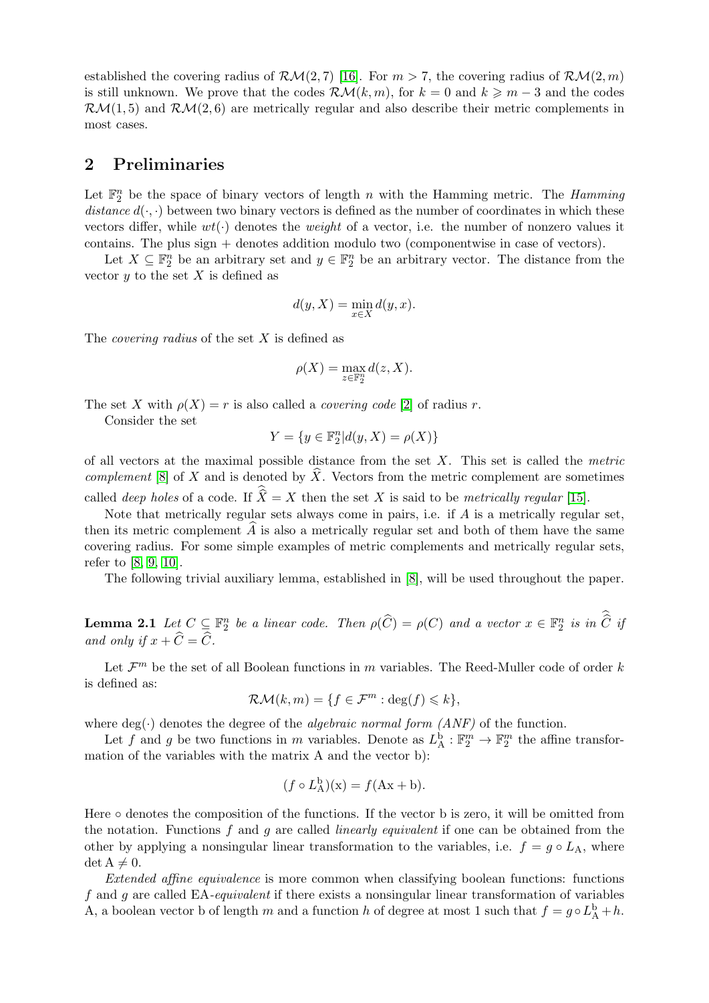established the covering radius of  $\mathcal{RM}(2,7)$  [\[16\]](#page-6-3). For  $m > 7$ , the covering radius of  $\mathcal{RM}(2,m)$ is still unknown. We prove that the codes  $\mathcal{RM}(k,m)$ , for  $k = 0$  and  $k \geq m-3$  and the codes  $\mathcal{RM}(1,5)$  and  $\mathcal{RM}(2,6)$  are metrically regular and also describe their metric complements in most cases.

## 2 Preliminaries

Let  $\mathbb{F}_2^n$  be the space of binary vectors of length n with the Hamming metric. The Hamming distance  $d(\cdot, \cdot)$  between two binary vectors is defined as the number of coordinates in which these vectors differ, while  $wt(\cdot)$  denotes the *weight* of a vector, i.e. the number of nonzero values it contains. The plus sign  $+$  denotes addition modulo two (componentwise in case of vectors).

Let  $X \subseteq \mathbb{F}_2^n$  be an arbitrary set and  $y \in \mathbb{F}_2^n$  be an arbitrary vector. The distance from the vector  $y$  to the set  $X$  is defined as

$$
d(y, X) = \min_{x \in X} d(y, x).
$$

The *covering radius* of the set  $X$  is defined as

$$
\rho(X) = \max_{z \in \mathbb{F}_2^n} d(z, X).
$$

The set X with  $\rho(X) = r$  is also called a *covering code* [\[2\]](#page-5-10) of radius r.

Consider the set

$$
Y=\{y\in\mathbb{F}_2^n|d(y,X)=\rho(X)\}
$$

of all vectors at the maximal possible distance from the set  $X$ . This set is called the *metric* complement [\[8\]](#page-5-3) of X and is denoted by  $\hat{X}$ . Vectors from the metric complement are sometimes called *deep holes* of a code. If  $\widehat{X} = X$  then the set X is said to be *metrically regular* [\[15\]](#page-6-1).

Note that metrically regular sets always come in pairs, i.e. if  $A$  is a metrically regular set, then its metric complement  $\widehat{A}$  is also a metrically regular set and both of them have the same covering radius. For some simple examples of metric complements and metrically regular sets, refer to [\[8,](#page-5-3) [9,](#page-5-4) [10\]](#page-5-5).

The following trivial auxiliary lemma, established in [\[8\]](#page-5-3), will be used throughout the paper.

**Lemma 2.1** Let  $C \subseteq \mathbb{F}_2^n$  be a linear code. Then  $\rho(\widehat{C}) = \rho(C)$  and a vector  $x \in \mathbb{F}_2^n$  is in  $\widehat{C}$  if and only if  $x + \widehat{C} = \widehat{C}$ .

Let  $\mathcal{F}^m$  be the set of all Boolean functions in m variables. The Reed-Muller code of order k is defined as:

$$
\mathcal{R}\mathcal{M}(k,m) = \{f \in \mathcal{F}^m : \deg(f) \leq k\},\
$$

where deg( $\cdot$ ) denotes the degree of the *algebraic normal form (ANF)* of the function.

Let f and g be two functions in m variables. Denote as  $L^{\mathbf{b}}_A : \mathbb{F}_2^m \to \mathbb{F}_2^m$  the affine transformation of the variables with the matrix A and the vector b):

$$
(f \circ L_{\mathcal{A}}^{\mathbf{b}})(x) = f(Ax + b).
$$

Here  $\circ$  denotes the composition of the functions. If the vector b is zero, it will be omitted from the notation. Functions f and q are called *linearly equivalent* if one can be obtained from the other by applying a nonsingular linear transformation to the variables, i.e.  $f = g \circ L_A$ , where  $\det A \neq 0.$ 

Extended affine equivalence is more common when classifying boolean functions: functions f and g are called  $EA$ -equivalent if there exists a nonsingular linear transformation of variables A, a boolean vector b of length m and a function h of degree at most 1 such that  $f = g \circ L_A^{\mathbf{b}} + h$ .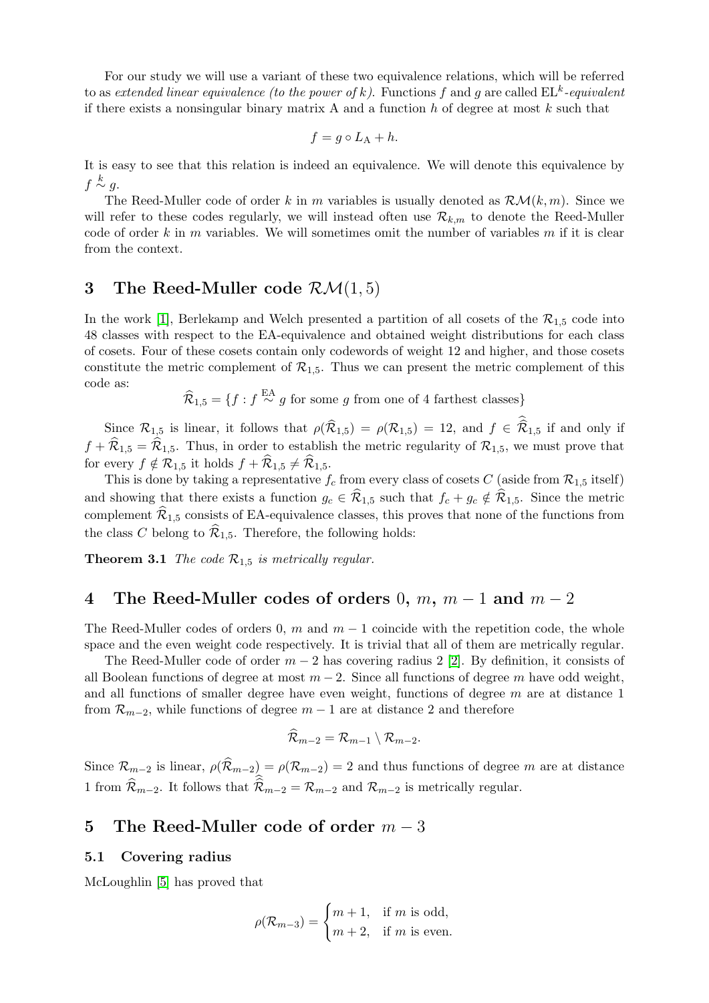For our study we will use a variant of these two equivalence relations, which will be referred to as extended linear equivalence (to the power of k). Functions f and g are called  $\text{EL}^k$ -equivalent if there exists a nonsingular binary matrix A and a function  $h$  of degree at most  $k$  such that

$$
f = g \circ L_{\mathcal{A}} + h.
$$

It is easy to see that this relation is indeed an equivalence. We will denote this equivalence by  $f \stackrel{k}{\sim} g.$ 

The Reed-Muller code of order k in m variables is usually denoted as  $\mathcal{RM}(k,m)$ . Since we will refer to these codes regularly, we will instead often use  $\mathcal{R}_{k,m}$  to denote the Reed-Muller code of order k in m variables. We will sometimes omit the number of variables  $m$  if it is clear from the context.

### <span id="page-2-0"></span>3 The Reed-Muller code  $\mathcal{RM}(1,5)$

In the work [\[1\]](#page-5-6), Berlekamp and Welch presented a partition of all cosets of the  $\mathcal{R}_{1.5}$  code into 48 classes with respect to the EA-equivalence and obtained weight distributions for each class of cosets. Four of these cosets contain only codewords of weight 12 and higher, and those cosets constitute the metric complement of  $\mathcal{R}_{1,5}$ . Thus we can present the metric complement of this code as:

 $\widehat{\mathcal{R}}_{1,5} = \{f : f \stackrel{\text{EA}}{\sim} g \text{ for some } g \text{ from one of 4 farthest classes}\}\$ 

Since  $\mathcal{R}_{1,5}$  is linear, it follows that  $\rho(\mathcal{R}_{1,5}) = \rho(\mathcal{R}_{1,5}) = 12$ , and  $f \in \mathcal{R}_{1,5}$  if and only if  $f + \widehat{\mathcal{R}}_{1,5} = \widehat{\mathcal{R}}_{1,5}$ . Thus, in order to establish the metric regularity of  $\mathcal{R}_{1,5}$ , we must prove that for every  $f \notin \mathcal{R}_{1,5}$  it holds  $f + \widehat{\mathcal{R}}_{1,5} \neq \widehat{\mathcal{R}}_{1,5}$ .

This is done by taking a representative  $f_c$  from every class of cosets C (aside from  $\mathcal{R}_{1.5}$  itself) and showing that there exists a function  $g_c \in \mathcal{R}_{1,5}$  such that  $f_c + g_c \notin \mathcal{R}_{1,5}$ . Since the metric complement  $\widehat{\mathcal{R}}_{1,5}$  consists of EA-equivalence classes, this proves that none of the functions from the class C belong to  $\widehat{\mathcal{R}}_{1,5}$ . Therefore, the following holds:

**Theorem 3.1** The code  $\mathcal{R}_{1,5}$  is metrically regular.

# 4 The Reed-Muller codes of orders 0,  $m$ ,  $m-1$  and  $m-2$

The Reed-Muller codes of orders 0, m and  $m-1$  coincide with the repetition code, the whole space and the even weight code respectively. It is trivial that all of them are metrically regular.

The Reed-Muller code of order  $m-2$  has covering radius 2 [\[2\]](#page-5-10). By definition, it consists of all Boolean functions of degree at most  $m-2$ . Since all functions of degree m have odd weight, and all functions of smaller degree have even weight, functions of degree  $m$  are at distance 1 from  $\mathcal{R}_{m-2}$ , while functions of degree  $m-1$  are at distance 2 and therefore

$$
\mathcal{R}_{m-2}=\mathcal{R}_{m-1}\setminus \mathcal{R}_{m-2}.
$$

Since  $\mathcal{R}_{m-2}$  is linear,  $\rho(\widehat{\mathcal{R}}_{m-2}) = \rho(\mathcal{R}_{m-2}) = 2$  and thus functions of degree m are at distance 1 from  $\widehat{\mathcal{R}}_{m-2}$ . It follows that  $\widehat{\mathcal{R}}_{m-2} = \mathcal{R}_{m-2}$  and  $\mathcal{R}_{m-2}$  is metrically regular.

### 5 The Reed-Muller code of order  $m-3$

#### 5.1 Covering radius

McLoughlin [\[5\]](#page-5-11) has proved that

$$
\rho(\mathcal{R}_{m-3}) = \begin{cases} m+1, & \text{if } m \text{ is odd,} \\ m+2, & \text{if } m \text{ is even.} \end{cases}
$$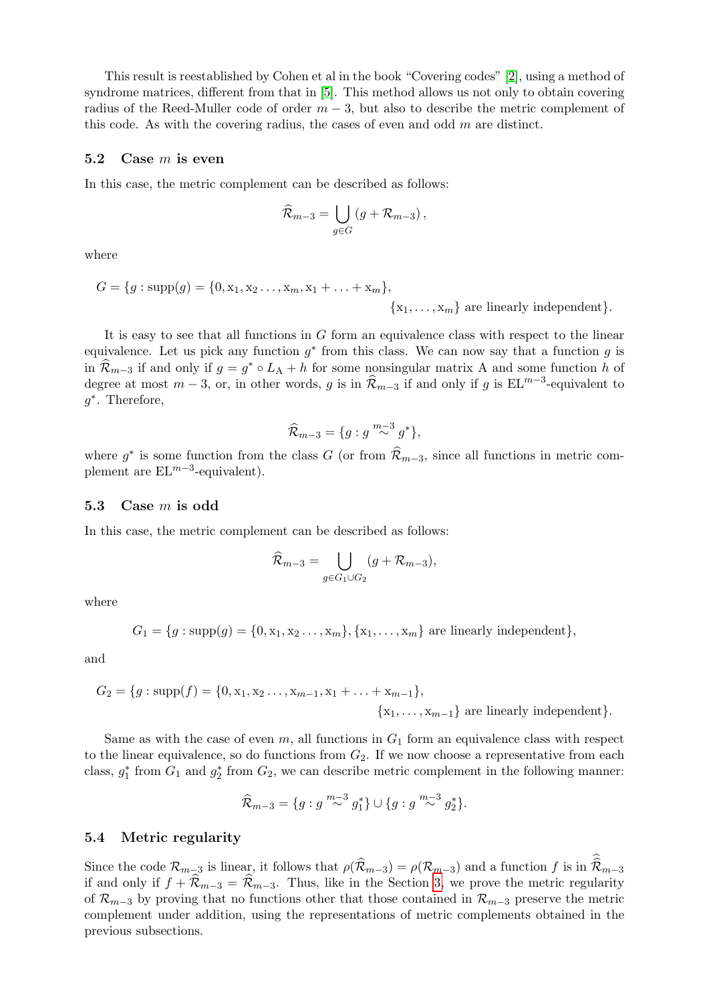This result is reestablished by Cohen et al in the book "Covering codes" [\[2\]](#page-5-10), using a method of syndrome matrices, different from that in [\[5\]](#page-5-11). This method allows us not only to obtain covering radius of the Reed-Muller code of order  $m-3$ , but also to describe the metric complement of this code. As with the covering radius, the cases of even and odd  $m$  are distinct.

#### 5.2 Case  $m$  is even

In this case, the metric complement can be described as follows:

$$
\widehat{\mathcal{R}}_{m-3} = \bigcup_{g \in G} \left( g + \mathcal{R}_{m-3} \right),
$$

where

$$
G = \{g : \text{supp}(g) = \{0, x_1, x_2, ..., x_m, x_1 + ... + x_m\},\
$$

$$
\{x_1, ..., x_m\} \text{ are linearly independent}\}.
$$

It is easy to see that all functions in G form an equivalence class with respect to the linear equivalence. Let us pick any function  $g^*$  from this class. We can now say that a function g is in  $\widehat{\mathcal{R}}_{m-3}$  if and only if  $g = g^* \circ L_A + h$  for some nonsingular matrix A and some function h of degree at most  $m-3$ , or, in other words, g is in  $\widehat{\mathcal{R}}_{m-3}$  if and only if g is  $EL^{m-3}$ -equivalent to g ∗ . Therefore,

$$
\widehat{\mathcal{R}}_{m-3} = \{g : g \stackrel{m-3}{\sim} g^*\},\
$$

where  $g^*$  is some function from the class G (or from  $\widehat{\mathcal{R}}_{m-3}$ , since all functions in metric complement are  $EL^{m-3}$ -equivalent).

#### 5.3 Case m is odd

In this case, the metric complement can be described as follows:

$$
\widehat{\mathcal{R}}_{m-3} = \bigcup_{g \in G_1 \cup G_2} (g + \mathcal{R}_{m-3}),
$$

where

$$
G_1 = \{g : \text{supp}(g) = \{0, x_1, x_2, \ldots, x_m\}, \{x_1, \ldots, x_m\}
$$
 are linearly independent $\},$ 

and

$$
G_2 = \{g : \text{supp}(f) = \{0, x_1, x_2, \dots, x_{m-1}, x_1 + \dots + x_{m-1}\},\
$$

$$
\{x_1, \dots, x_{m-1}\} \text{ are linearly independent}\}.
$$

Same as with the case of even  $m$ , all functions in  $G_1$  form an equivalence class with respect to the linear equivalence, so do functions from  $G_2$ . If we now choose a representative from each class,  $g_1^*$  from  $G_1$  and  $g_2^*$  from  $G_2$ , we can describe metric complement in the following manner:

$$
\widehat{\mathcal{R}}_{m-3} = \{g : g \stackrel{m-3}{\sim} g_1^*\} \cup \{g : g \stackrel{m-3}{\sim} g_2^*\}.
$$

#### 5.4 Metric regularity

Since the code  $\mathcal{R}_{m-3}$  is linear, it follows that  $\rho(\widehat{\mathcal{R}}_{m-3}) = \rho(\mathcal{R}_{m-3})$  and a function f is in  $\widehat{\mathcal{R}}_{m-3}$ if and only if  $f + \widehat{\mathcal{R}}_{m-3} = \widehat{\mathcal{R}}_{m-3}$ . Thus, like in the Section [3,](#page-2-0) we prove the metric regularity of  $\mathcal{R}_{m-3}$  by proving that no functions other that those contained in  $\mathcal{R}_{m-3}$  preserve the metric complement under addition, using the representations of metric complements obtained in the previous subsections.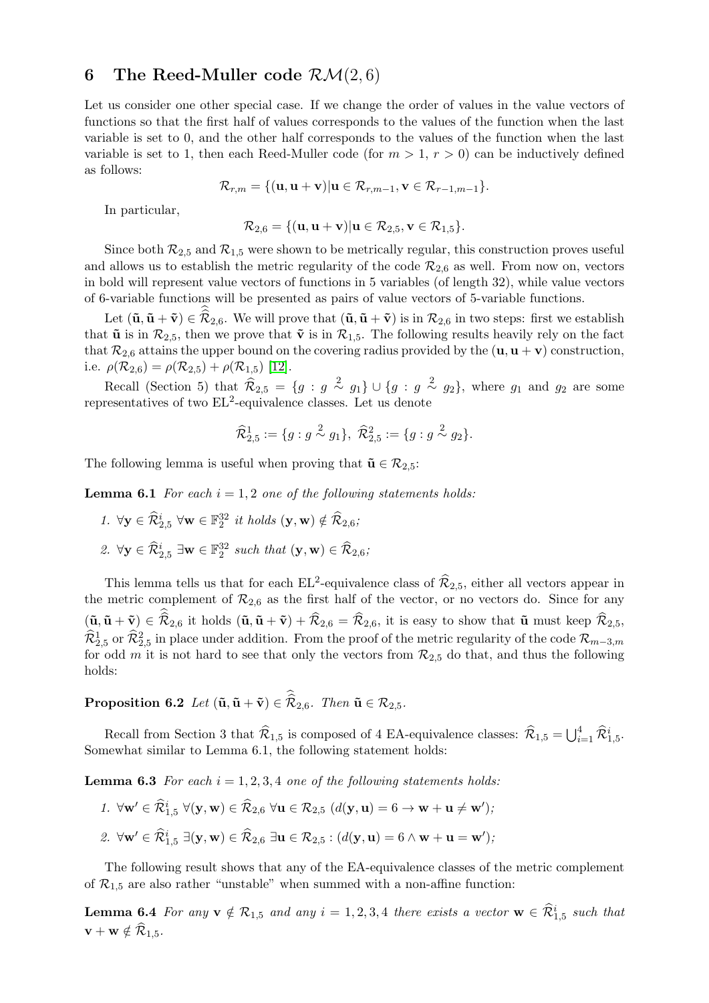# 6 The Reed-Muller code  $\mathcal{RM}(2,6)$

Let us consider one other special case. If we change the order of values in the value vectors of functions so that the first half of values corresponds to the values of the function when the last variable is set to 0, and the other half corresponds to the values of the function when the last variable is set to 1, then each Reed-Muller code (for  $m > 1$ ,  $r > 0$ ) can be inductively defined as follows:

$$
\mathcal{R}_{r,m} = \{(\mathbf{u}, \mathbf{u} + \mathbf{v}) | \mathbf{u} \in \mathcal{R}_{r,m-1}, \mathbf{v} \in \mathcal{R}_{r-1,m-1}\}.
$$

In particular,

$$
\mathcal{R}_{2,6} = \{(\mathbf{u}, \mathbf{u} + \mathbf{v}) | \mathbf{u} \in \mathcal{R}_{2,5}, \mathbf{v} \in \mathcal{R}_{1,5}\}.
$$

Since both  $\mathcal{R}_{2,5}$  and  $\mathcal{R}_{1,5}$  were shown to be metrically regular, this construction proves useful and allows us to establish the metric regularity of the code  $\mathcal{R}_{2,6}$  as well. From now on, vectors in bold will represent value vectors of functions in 5 variables (of length 32), while value vectors of 6-variable functions will be presented as pairs of value vectors of 5-variable functions.

Let  $(\tilde{\mathbf{u}}, \tilde{\mathbf{u}} + \tilde{\mathbf{v}}) \in \mathcal{R}_{2,6}$ . We will prove that  $(\tilde{\mathbf{u}}, \tilde{\mathbf{u}} + \tilde{\mathbf{v}})$  is in  $\mathcal{R}_{2,6}$  in two steps: first we establish that  $\tilde{\mathbf{u}}$  is in  $\mathcal{R}_{2,5}$ , then we prove that  $\tilde{\mathbf{v}}$  is in  $\mathcal{R}_{1,5}$ . The following results heavily rely on the fact that  $\mathcal{R}_{2,6}$  attains the upper bound on the covering radius provided by the  $(\mathbf{u}, \mathbf{u} + \mathbf{v})$  construction, i.e.  $\rho(\mathcal{R}_{2,6}) = \rho(\mathcal{R}_{2,5}) + \rho(\mathcal{R}_{1,5})$  [\[12\]](#page-5-9).

Recall (Section 5) that  $\widehat{\mathcal{R}}_{2,5} = \{g : g \stackrel{2}{\sim} g_1\} \cup \{g : g \stackrel{2}{\sim} g_2\}$ , where  $g_1$  and  $g_2$  are some representatives of two  $EL^2$ -equivalence classes. Let us denote

$$
\widehat{\mathcal{R}}_{2,5}^1 := \{ g : g \stackrel{2}{\sim} g_1 \}, \ \widehat{\mathcal{R}}_{2,5}^2 := \{ g : g \stackrel{2}{\sim} g_2 \}.
$$

The following lemma is useful when proving that  $\tilde{\mathbf{u}} \in \mathcal{R}_{2,5}$ :

**Lemma 6.1** For each  $i = 1, 2$  one of the following statements holds:

- 1.  $\forall \mathbf{y} \in \widehat{\mathcal{R}}_{2,5}^{i} \ \forall \mathbf{w} \in \mathbb{F}_2^{32} \ it \ holds\ (\mathbf{y}, \mathbf{w}) \notin \widehat{\mathcal{R}}_{2,6};$
- 2.  $\forall y \in \widehat{\mathcal{R}}_{2,5}^i \exists w \in \mathbb{F}_2^{32} \text{ such that } (\mathbf{y}, \mathbf{w}) \in \widehat{\mathcal{R}}_{2,6};$

This lemma tells us that for each  $EL^2$ -equivalence class of  $\widehat{\mathcal{R}}_{2,5}$ , either all vectors appear in the metric complement of  $\mathcal{R}_{2,6}$  as the first half of the vector, or no vectors do. Since for any  $(\tilde{\mathbf{u}}, \tilde{\mathbf{u}} + \tilde{\mathbf{v}}) \in \mathcal{R}_{2,6}$  it holds  $(\tilde{\mathbf{u}}, \tilde{\mathbf{u}} + \tilde{\mathbf{v}}) + \mathcal{R}_{2,6} = \mathcal{R}_{2,6}$ , it is easy to show that  $\tilde{\mathbf{u}}$  must keep  $\mathcal{R}_{2,5}$ ,  $\widehat{\mathcal{R}}_{2,5}^1$  or  $\widehat{\mathcal{R}}_{2,5}^2$  in place under addition. From the proof of the metric regularity of the code  $\mathcal{R}_{m-3,m}$ for odd m it is not hard to see that only the vectors from  $\mathcal{R}_{2,5}$  do that, and thus the following holds:

**Proposition 6.2** Let  $(\tilde{\mathbf{u}}, \tilde{\mathbf{u}} + \tilde{\mathbf{v}}) \in \mathcal{R}_{2,6}$ . Then  $\tilde{\mathbf{u}} \in \mathcal{R}_{2,5}$ .

Recall from Section 3 that  $\widehat{\mathcal{R}}_{1,5}$  is composed of 4 EA-equivalence classes:  $\widehat{\mathcal{R}}_{1,5} = \bigcup_{i=1}^{4} \widehat{\mathcal{R}}_{1,5}^{i}$ . Somewhat similar to Lemma 6.1, the following statement holds:

**Lemma 6.3** For each  $i = 1, 2, 3, 4$  one of the following statements holds:

1.  $\forall \mathbf{w}' \in \widehat{\mathcal{R}}^i_{1,5}$   $\forall (\mathbf{y}, \mathbf{w}) \in \widehat{\mathcal{R}}_{2,6}$   $\forall \mathbf{u} \in \mathcal{R}_{2,5}$   $(d(\mathbf{y}, \mathbf{u}) = 6 \rightarrow \mathbf{w} + \mathbf{u} \neq \mathbf{w}')$ ; 2.  $\forall \mathbf{w}' \in \widehat{\mathcal{R}}^i_{1,5} \; \exists (\mathbf{y}, \mathbf{w}) \in \widehat{\mathcal{R}}_{2,6} \; \exists \mathbf{u} \in \mathcal{R}_{2,5} : (d(\mathbf{y}, \mathbf{u}) = 6 \wedge \mathbf{w} + \mathbf{u} = \mathbf{w}'),$ 

The following result shows that any of the EA-equivalence classes of the metric complement of  $\mathcal{R}_{1,5}$  are also rather "unstable" when summed with a non-affine function:

**Lemma 6.4** For any  $\mathbf{v} \notin \mathcal{R}_{1,5}$  and any  $i = 1, 2, 3, 4$  there exists a vector  $\mathbf{w} \in \widehat{\mathcal{R}}_{1,5}^{i}$  such that  $\mathbf{v} + \mathbf{w} \notin \widehat{\mathcal{R}}_{1.5}.$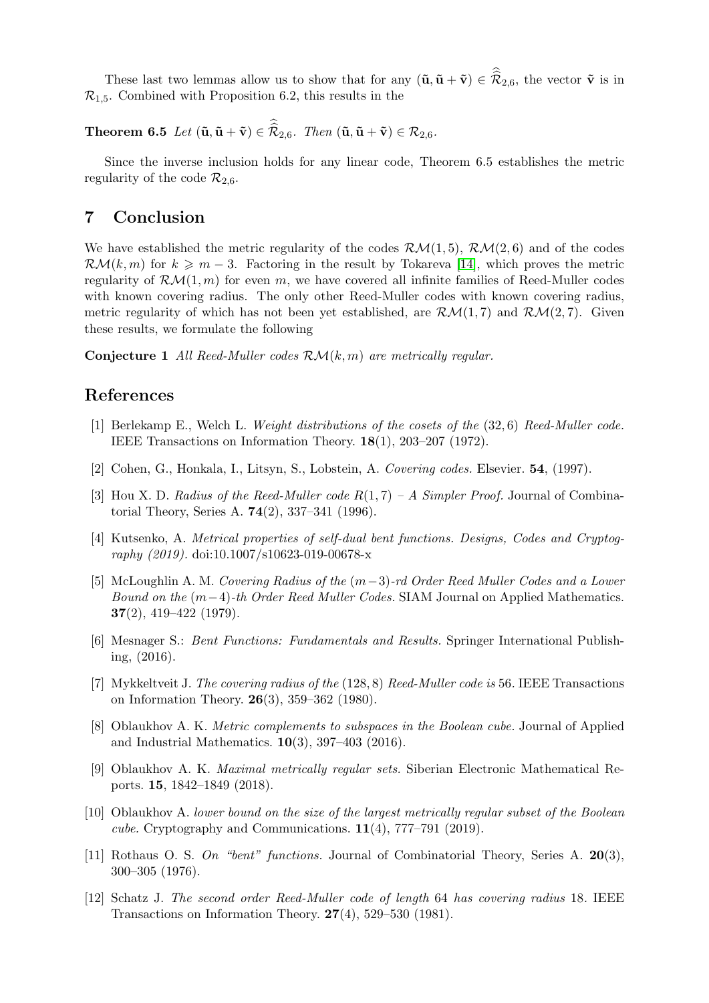These last two lemmas allow us to show that for any  $(\tilde{\mathbf{u}}, \tilde{\mathbf{u}} + \tilde{\mathbf{v}}) \in \mathcal{R}_{2,6}$ , the vector  $\tilde{\mathbf{v}}$  is in  $\mathcal{R}_{1.5}$ . Combined with Proposition 6.2, this results in the

**Theorem 6.5** Let  $(\tilde{\mathbf{u}}, \tilde{\mathbf{u}} + \tilde{\mathbf{v}}) \in \mathcal{R}_{2,6}$ . Then  $(\tilde{\mathbf{u}}, \tilde{\mathbf{u}} + \tilde{\mathbf{v}}) \in \mathcal{R}_{2,6}$ .

Since the inverse inclusion holds for any linear code, Theorem 6.5 establishes the metric regularity of the code  $\mathcal{R}_{2,6}$ .

### 7 Conclusion

We have established the metric regularity of the codes  $\mathcal{RM}(1,5)$ ,  $\mathcal{RM}(2,6)$  and of the codes  $\mathcal{RM}(k,m)$  for  $k \geq m-3$ . Factoring in the result by Tokareva [\[14\]](#page-6-0), which proves the metric regularity of  $\mathcal{RM}(1,m)$  for even m, we have covered all infinite families of Reed-Muller codes with known covering radius. The only other Reed-Muller codes with known covering radius, metric regularity of which has not been yet established, are  $\mathcal{RM}(1,7)$  and  $\mathcal{RM}(2,7)$ . Given these results, we formulate the following

**Conjecture 1** All Reed-Muller codes  $\mathcal{RM}(k,m)$  are metrically regular.

### References

- <span id="page-5-6"></span>[1] Berlekamp E., Welch L. Weight distributions of the cosets of the (32, 6) Reed-Muller code. IEEE Transactions on Information Theory. 18(1), 203–207 (1972).
- <span id="page-5-10"></span>[2] Cohen, G., Honkala, I., Litsyn, S., Lobstein, A. Covering codes. Elsevier. 54, (1997).
- <span id="page-5-8"></span>[3] Hou X. D. Radius of the Reed-Muller code  $R(1, 7)$  – A Simpler Proof. Journal of Combinatorial Theory, Series A. 74(2), 337–341 (1996).
- <span id="page-5-2"></span>[4] Kutsenko, A. Metrical properties of self-dual bent functions. Designs, Codes and Cryptography (2019). doi:10.1007/s10623-019-00678-x
- <span id="page-5-11"></span>[5] McLoughlin A. M. Covering Radius of the (m−3)-rd Order Reed Muller Codes and a Lower Bound on the  $(m-4)$ -th Order Reed Muller Codes. SIAM Journal on Applied Mathematics.  $37(2)$ , 419–422 (1979).
- <span id="page-5-1"></span>[6] Mesnager S.: Bent Functions: Fundamentals and Results. Springer International Publishing, (2016).
- <span id="page-5-7"></span>[7] Mykkeltveit J. The covering radius of the (128, 8) Reed-Muller code is 56. IEEE Transactions on Information Theory. 26(3), 359–362 (1980).
- <span id="page-5-3"></span>[8] Oblaukhov A. K. Metric complements to subspaces in the Boolean cube. Journal of Applied and Industrial Mathematics.  $10(3)$ , 397-403 (2016).
- <span id="page-5-4"></span>[9] Oblaukhov A. K. Maximal metrically regular sets. Siberian Electronic Mathematical Reports. 15, 1842–1849 (2018).
- <span id="page-5-5"></span>[10] Oblaukhov A. lower bound on the size of the largest metrically regular subset of the Boolean cube. Cryptography and Communications.  $11(4)$ , 777–791 (2019).
- <span id="page-5-0"></span>[11] Rothaus O. S. On "bent" functions. Journal of Combinatorial Theory, Series A. 20(3), 300–305 (1976).
- <span id="page-5-9"></span>[12] Schatz J. The second order Reed-Muller code of length 64 has covering radius 18. IEEE Transactions on Information Theory. 27(4), 529–530 (1981).